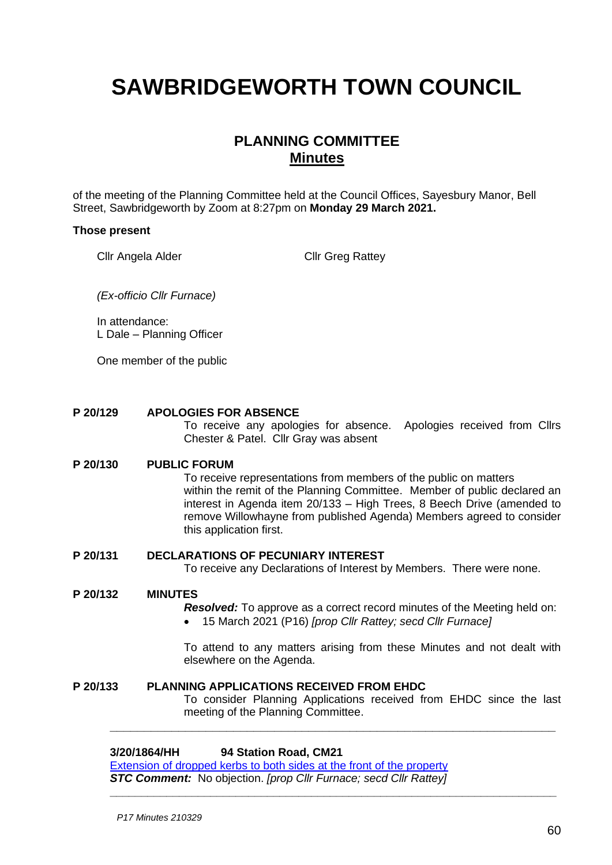# **SAWBRIDGEWORTH TOWN COUNCIL**

## **PLANNING COMMITTEE Minutes**

of the meeting of the Planning Committee held at the Council Offices, Sayesbury Manor, Bell Street, Sawbridgeworth by Zoom at 8:27pm on **Monday 29 March 2021.**

#### **Those present**

Cllr Angela Alder Cllr Greg Rattey

*(Ex-officio Cllr Furnace)*

In attendance: L Dale – Planning Officer

One member of the public

#### **P 20/129 APOLOGIES FOR ABSENCE**

To receive any apologies for absence. Apologies received from Cllrs Chester & Patel. Cllr Gray was absent

#### **P 20/130 PUBLIC FORUM**

To receive representations from members of the public on matters within the remit of the Planning Committee. Member of public declared an interest in Agenda item 20/133 – High Trees, 8 Beech Drive (amended to remove Willowhayne from published Agenda) Members agreed to consider this application first.

#### **P 20/131 DECLARATIONS OF PECUNIARY INTEREST**

To receive any Declarations of Interest by Members. There were none.

#### **P 20/132 MINUTES**

*Resolved:* To approve as a correct record minutes of the Meeting held on:

• 15 March 2021 (P16) *[prop Cllr Rattey; secd Cllr Furnace]*

**\_\_\_\_\_\_\_\_\_\_\_\_\_\_\_\_\_\_\_\_\_\_\_\_\_\_\_\_\_\_\_\_\_\_\_\_\_\_\_\_\_\_\_\_\_\_\_\_\_\_\_\_\_\_\_\_\_\_\_\_\_\_\_\_\_**

**\_\_\_\_\_\_\_\_\_\_\_\_\_\_\_\_\_\_\_\_\_\_\_\_\_\_\_\_\_\_\_\_\_\_\_\_\_\_\_\_\_\_\_\_\_\_\_\_\_\_\_\_\_\_\_\_\_\_\_\_\_\_\_\_\_\_\_\_\_\_\_**

To attend to any matters arising from these Minutes and not dealt with elsewhere on the Agenda.

## **P 20/133 PLANNING APPLICATIONS RECEIVED FROM EHDC**

To consider Planning Applications received from EHDC since the last meeting of the Planning Committee.

#### **3/20/1864/HH 94 Station Road, CM21**

[Extension of dropped kerbs to both sides at the front of the property](https://publicaccess.eastherts.gov.uk/online-applications/applicationDetails.do?activeTab=documents&keyVal=QHDJ3DGLIPD00) *STC Comment:* No objection. *[prop Cllr Furnace; secd Cllr Rattey]*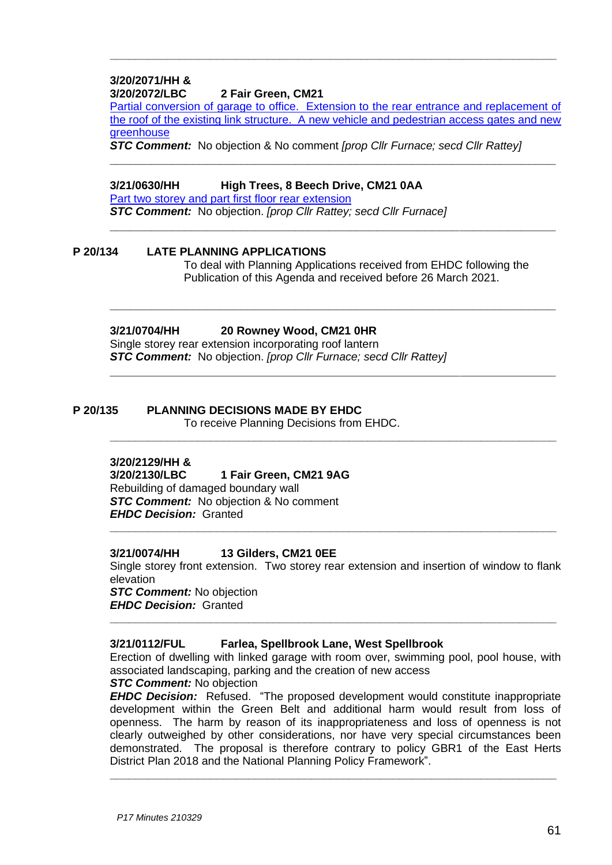#### **3/20/2071/HH & 3/20/2072/LBC 2 Fair Green, CM21**

[Partial conversion of garage to office. Extension to the rear entrance and replacement of](https://publicaccess.eastherts.gov.uk/online-applications/applicationDetails.do?activeTab=documents&keyVal=QILCUVGLJ2Z00)  [the roof of the existing link structure. A new vehicle and pedestrian access gates and new](https://publicaccess.eastherts.gov.uk/online-applications/applicationDetails.do?activeTab=documents&keyVal=QILCUVGLJ2Z00)  [greenhouse](https://publicaccess.eastherts.gov.uk/online-applications/applicationDetails.do?activeTab=documents&keyVal=QILCUVGLJ2Z00)

**\_\_\_\_\_\_\_\_\_\_\_\_\_\_\_\_\_\_\_\_\_\_\_\_\_\_\_\_\_\_\_\_\_\_\_\_\_\_\_\_\_\_\_\_\_\_\_\_\_\_\_\_\_\_\_\_\_\_\_\_\_\_\_\_\_**

**\_\_\_\_\_\_\_\_\_\_\_\_\_\_\_\_\_\_\_\_\_\_\_\_\_\_\_\_\_\_\_\_\_\_\_\_\_\_\_\_\_\_\_\_\_\_\_\_\_\_\_\_\_\_\_\_\_\_\_\_\_\_\_\_\_**

**\_\_\_\_\_\_\_\_\_\_\_\_\_\_\_\_\_\_\_\_\_\_\_\_\_\_\_\_\_\_\_\_\_\_\_\_\_\_\_\_\_\_\_\_\_\_\_\_\_\_\_\_\_\_\_\_\_\_\_\_\_\_\_\_\_**

**\_\_\_\_\_\_\_\_\_\_\_\_\_\_\_\_\_\_\_\_\_\_\_\_\_\_\_\_\_\_\_\_\_\_\_\_\_\_\_\_\_\_\_\_\_\_\_\_\_\_\_\_\_\_\_\_\_\_\_\_\_\_\_\_\_**

**\_\_\_\_\_\_\_\_\_\_\_\_\_\_\_\_\_\_\_\_\_\_\_\_\_\_\_\_\_\_\_\_\_\_\_\_\_\_\_\_\_\_\_\_\_\_\_\_\_\_\_\_\_\_\_\_\_\_\_\_\_\_\_\_\_\_\_\_\_\_\_**

**\_\_\_\_\_\_\_\_\_\_\_\_\_\_\_\_\_\_\_\_\_\_\_\_\_\_\_\_\_\_\_\_\_\_\_\_\_\_\_\_\_\_\_\_\_\_\_\_\_\_\_\_\_\_\_\_\_\_\_\_\_\_\_\_\_\_\_\_\_\_\_**

*STC Comment:* No objection & No comment *[prop Cllr Furnace; secd Cllr Rattey]*

#### **3/21/0630/HH High Trees, 8 Beech Drive, CM21 0AA**

[Part two storey and part first floor rear extension](https://publicaccess.eastherts.gov.uk/online-applications/applicationDetails.do?activeTab=documents&keyVal=QPT02MGLLEW00)

*STC Comment:* No objection. *[prop Cllr Rattey; secd Cllr Furnace]*

## **P 20/134 LATE PLANNING APPLICATIONS**

To deal with Planning Applications received from EHDC following the Publication of this Agenda and received before 26 March 2021.

## **3/21/0704/HH 20 Rowney Wood, CM21 0HR**

Single storey rear extension incorporating roof lantern *STC Comment:* No objection. *[prop Cllr Furnace; secd Cllr Rattey]*

## **P 20/135 PLANNING DECISIONS MADE BY EHDC**

To receive Planning Decisions from EHDC.

## **3/20/2129/HH &**

**3/20/2130/LBC 1 Fair Green, CM21 9AG** Rebuilding of damaged boundary wall *STC Comment:* No objection & No comment *EHDC Decision:* Granted

## **3/21/0074/HH 13 Gilders, CM21 0EE**

Single storey front extension. Two storey rear extension and insertion of window to flank elevation *STC Comment:* No objection

**\_\_\_\_\_\_\_\_\_\_\_\_\_\_\_\_\_\_\_\_\_\_\_\_\_\_\_\_\_\_\_\_\_\_\_\_\_\_\_\_\_\_\_\_\_\_\_\_\_\_\_\_\_\_\_\_\_\_\_\_\_\_\_\_\_\_\_\_\_\_\_**

**\_\_\_\_\_\_\_\_\_\_\_\_\_\_\_\_\_\_\_\_\_\_\_\_\_\_\_\_\_\_\_\_\_\_\_\_\_\_\_\_\_\_\_\_\_\_\_\_\_\_\_\_\_\_\_\_\_\_\_\_\_\_\_\_\_\_\_\_\_\_\_**

*EHDC Decision:* Granted

## **3/21/0112/FUL Farlea, Spellbrook Lane, West Spellbrook**

Erection of dwelling with linked garage with room over, swimming pool, pool house, with associated landscaping, parking and the creation of new access

*STC Comment:* No objection

*EHDC Decision:* Refused. "The proposed development would constitute inappropriate development within the Green Belt and additional harm would result from loss of openness. The harm by reason of its inappropriateness and loss of openness is not clearly outweighed by other considerations, nor have very special circumstances been demonstrated. The proposal is therefore contrary to policy GBR1 of the East Herts District Plan 2018 and the National Planning Policy Framework".

**\_\_\_\_\_\_\_\_\_\_\_\_\_\_\_\_\_\_\_\_\_\_\_\_\_\_\_\_\_\_\_\_\_\_\_\_\_\_\_\_\_\_\_\_\_\_\_\_\_\_\_\_\_\_\_\_\_\_\_\_\_\_\_\_\_\_\_\_\_\_\_**